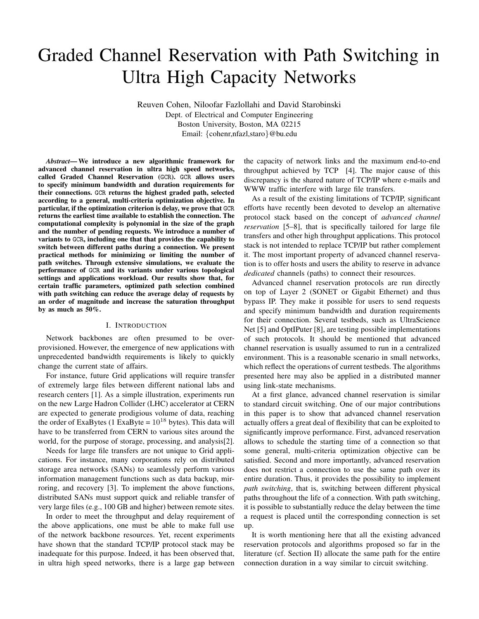# Graded Channel Reservation with Path Switching in Ultra High Capacity Networks

Reuven Cohen, Niloofar Fazlollahi and David Starobinski Dept. of Electrical and Computer Engineering Boston University, Boston, MA 02215 Email: {cohenr,nfazl,staro}@bu.edu

*Abstract***— We introduce a new algorithmic framework for advanced channel reservation in ultra high speed networks, called Graded Channel Reservation (**GCR**).** GCR **allows users to specify minimum bandwidth and duration requirements for their connections.** GCR **returns the highest graded path, selected according to a general, multi-criteria optimization objective. In particular, if the optimization criterion is delay, we prove that** GCR **returns the earliest time available to establish the connection. The computational complexity is polynomial in the size of the graph and the number of pending requests. We introduce a number of variants to** GCR**, including one that that provides the capability to switch between different paths during a connection. We present practical methods for minimizing or limiting the number of path switches. Through extensive simulations, we evaluate the performance of** GCR **and its variants under various topological settings and applications workload. Our results show that, for certain traffic parameters, optimized path selection combined with path switching can reduce the average delay of requests by an order of magnitude and increase the saturation throughput by as much as 50%.**

#### I. INTRODUCTION

Network backbones are often presumed to be overprovisioned. However, the emergence of new applications with unprecedented bandwidth requirements is likely to quickly change the current state of affairs.

For instance, future Grid applications will require transfer of extremely large files between different national labs and research centers [1]. As a simple illustration, experiments run on the new Large Hadron Collider (LHC) accelerator at CERN are expected to generate prodigious volume of data, reaching the order of ExaBytes (1 ExaByte =  $10^{18}$  bytes). This data will have to be transferred from CERN to various sites around the world, for the purpose of storage, processing, and analysis[2].

Needs for large file transfers are not unique to Grid applications. For instance, many corporations rely on distributed storage area networks (SANs) to seamlessly perform various information management functions such as data backup, mirroring, and recovery [3]. To implement the above functions, distributed SANs must support quick and reliable transfer of very large files (e.g., 100 GB and higher) between remote sites.

In order to meet the throughput and delay requirement of the above applications, one must be able to make full use of the network backbone resources. Yet, recent experiments have shown that the standard TCP/IP protocol stack may be inadequate for this purpose. Indeed, it has been observed that, in ultra high speed networks, there is a large gap between the capacity of network links and the maximum end-to-end throughput achieved by TCP [4]. The major cause of this discrepancy is the shared nature of TCP/IP where e-mails and WWW traffic interfere with large file transfers.

As a result of the existing limitations of TCP/IP, significant efforts have recently been devoted to develop an alternative protocol stack based on the concept of *advanced channel reservation* [5–8], that is specifically tailored for large file transfers and other high throughput applications. This protocol stack is not intended to replace TCP/IP but rather complement it. The most important property of advanced channel reservation is to offer hosts and users the ability to reserve in advance *dedicated* channels (paths) to connect their resources.

Advanced channel reservation protocols are run directly on top of Layer 2 (SONET or Gigabit Ethernet) and thus bypass IP. They make it possible for users to send requests and specify minimum bandwidth and duration requirements for their connection. Several testbeds, such as UltraScience Net [5] and OptIPuter [8], are testing possible implementations of such protocols. It should be mentioned that advanced channel reservation is usually assumed to run in a centralized environment. This is a reasonable scenario in small networks, which reflect the operations of current testbeds. The algorithms presented here may also be applied in a distributed manner using link-state mechanisms.

At a first glance, advanced channel reservation is similar to standard circuit switching. One of our major contributions in this paper is to show that advanced channel reservation actually offers a great deal of flexibility that can be exploited to significantly improve performance. First, advanced reservation allows to schedule the starting time of a connection so that some general, multi-criteria optimization objective can be satisfied. Second and more importantly, advanced reservation does not restrict a connection to use the same path over its entire duration. Thus, it provides the possibility to implement *path switching*, that is, switching between different physical paths throughout the life of a connection. With path switching, it is possible to substantially reduce the delay between the time a request is placed until the corresponding connection is set up.

It is worth mentioning here that all the existing advanced reservation protocols and algorithms proposed so far in the literature (cf. Section II) allocate the same path for the entire connection duration in a way similar to circuit switching.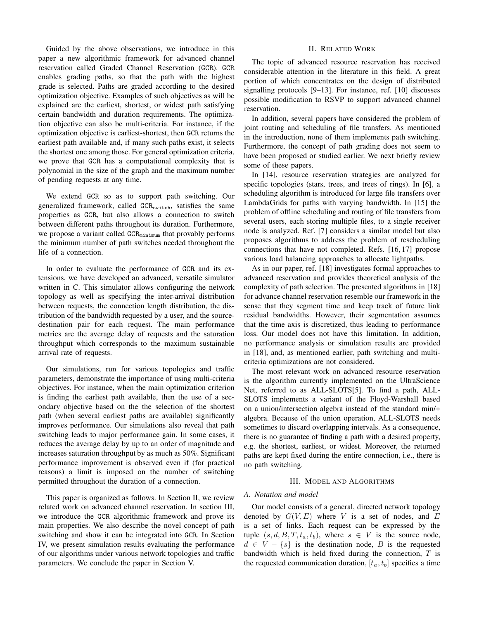Guided by the above observations, we introduce in this paper a new algorithmic framework for advanced channel reservation called Graded Channel Reservation (GCR). GCR enables grading paths, so that the path with the highest grade is selected. Paths are graded according to the desired optimization objective. Examples of such objectives as will be explained are the earliest, shortest, or widest path satisfying certain bandwidth and duration requirements. The optimization objective can also be multi-criteria. For instance, if the optimization objective is earliest-shortest, then GCR returns the earliest path available and, if many such paths exist, it selects the shortest one among those. For general optimization criteria, we prove that GCR has a computational complexity that is polynomial in the size of the graph and the maximum number of pending requests at any time.

We extend GCR so as to support path switching. Our generalized framework, called GCR<sub>switch</sub>, satisfies the same properties as GCR, but also allows a connection to switch between different paths throughout its duration. Furthermore, we propose a variant called  $GCR_{minimum}$  that provably performs the minimum number of path switches needed throughout the life of a connection.

In order to evaluate the performance of GCR and its extensions, we have developed an advanced, versatile simulator written in C. This simulator allows configuring the network topology as well as specifying the inter-arrival distribution between requests, the connection length distribution, the distribution of the bandwidth requested by a user, and the sourcedestination pair for each request. The main performance metrics are the average delay of requests and the saturation throughput which corresponds to the maximum sustainable arrival rate of requests.

Our simulations, run for various topologies and traffic parameters, demonstrate the importance of using multi-criteria objectives. For instance, when the main optimization criterion is finding the earliest path available, then the use of a secondary objective based on the the selection of the shortest path (when several earliest paths are available) significantly improves performance. Our simulations also reveal that path switching leads to major performance gain. In some cases, it reduces the average delay by up to an order of magnitude and increases saturation throughput by as much as 50%. Significant performance improvement is observed even if (for practical reasons) a limit is imposed on the number of switching permitted throughout the duration of a connection.

This paper is organized as follows. In Section II, we review related work on advanced channel reservation. In section III, we introduce the GCR algorithmic framework and prove its main properties. We also describe the novel concept of path switching and show it can be integrated into GCR. In Section IV, we present simulation results evaluating the performance of our algorithms under various network topologies and traffic parameters. We conclude the paper in Section V.

## II. RELATED WORK

The topic of advanced resource reservation has received considerable attention in the literature in this field. A great portion of which concentrates on the design of distributed signalling protocols [9–13]. For instance, ref. [10] discusses possible modification to RSVP to support advanced channel reservation.

In addition, several papers have considered the problem of joint routing and scheduling of file transfers. As mentioned in the introduction, none of them implements path switching. Furthermore, the concept of path grading does not seem to have been proposed or studied earlier. We next briefly review some of these papers.

In [14], resource reservation strategies are analyzed for specific topologies (stars, trees, and trees of rings). In [6], a scheduling algorithm is introduced for large file transfers over LambdaGrids for paths with varying bandwidth. In [15] the problem of offline scheduling and routing of file transfers from several users, each storing multiple files, to a single receiver node is analyzed. Ref. [7] considers a similar model but also proposes algorithms to address the problem of rescheduling connections that have not completed. Refs. [16, 17] propose various load balancing approaches to allocate lightpaths.

As in our paper, ref. [18] investigates formal approaches to advanced reservation and provides theoretical analysis of the complexity of path selection. The presented algorithms in [18] for advance channel reservation resemble our framework in the sense that they segment time and keep track of future link residual bandwidths. However, their segmentation assumes that the time axis is discretized, thus leading to performance loss. Our model does not have this limitation. In addition, no performance analysis or simulation results are provided in [18], and, as mentioned earlier, path switching and multicriteria optimizations are not considered.

The most relevant work on advanced resource reservation is the algorithm currently implemented on the UltraScience Net, referred to as ALL-SLOTS[5]. To find a path, ALL-SLOTS implements a variant of the Floyd-Warshall based on a union/intersection algebra instead of the standard min/+ algebra. Because of the union operation, ALL-SLOTS needs sometimes to discard overlapping intervals. As a consequence, there is no guarantee of finding a path with a desired property, e.g. the shortest, earliest, or widest. Moreover, the returned paths are kept fixed during the entire connection, i.e., there is no path switching.

## III. MODEL AND ALGORITHMS

## *A. Notation and model*

Our model consists of a general, directed network topology denoted by  $G(V, E)$  where V is a set of nodes, and E is a set of links. Each request can be expressed by the tuple  $(s, d, B, T, t_a, t_b)$ , where  $s \in V$  is the source node,  $d \in V - \{s\}$  is the destination node, B is the requested bandwidth which is held fixed during the connection,  $T$  is the requested communication duration,  $[t_a, t_b]$  specifies a time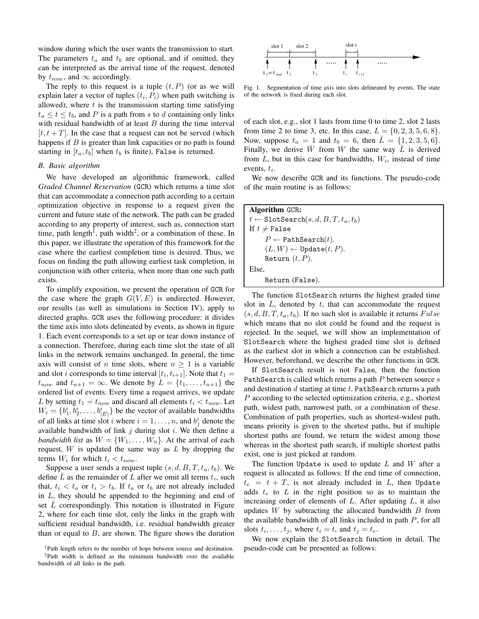window during which the user wants the transmission to start. The parameters  $t_a$  and  $t_b$  are optional, and if omitted, they can be interpreted as the arrival time of the request, denoted by  $t_{now}$ , and  $\infty$  accordingly.

The reply to this request is a tuple  $(t, P)$  (or as we will explain later a vector of tuples  $(t_i, P_i)$  when path switching is allowed), where  $t$  is the transmission starting time satisfying  $t_a \le t \le t_b$ , and P is a path from s to d containing only links with residual bandwidth of at least  $B$  during the time interval  $[t, t + T]$ . In the case that a request can not be served (which happens if  $B$  is greater than link capacities or no path is found starting in  $[t_a, t_b]$  when  $t_b$  is finite), False is returned.

#### *B. Basic algorithm*

We have developed an algorithmic framework, called *Graded Channel Reservation* (GCR) which returns a time slot that can accommodate a connection path according to a certain optimization objective in response to a request given the current and future state of the network. The path can be graded according to any property of interest, such as, connection start time, path length<sup>1</sup>, path width<sup>2</sup>, or a combination of these. In this paper, we illustrate the operation of this framework for the case where the earliest completion time is desired. Thus, we focus on finding the path allowing earliest task completion, in conjunction with other criteria, when more than one such path exists.

To simplify exposition, we present the operation of GCR for the case where the graph  $G(V, E)$  is undirected. However, our results (as well as simulations in Section IV), apply to directed graphs. GCR uses the following procedure: it divides the time axis into slots delineated by events, as shown in figure 1. Each event corresponds to a set up or tear down instance of a connection. Therefore, during each time slot the state of all links in the network remains unchanged. In general, the time axis will consist of *n* time slots, where  $n \geq 1$  is a variable and slot *i* corresponds to time interval  $[t_i, t_{i+1}]$ . Note that  $t_1 =$  $t_{now}$  and  $t_{n+1} = \infty$ . We denote by  $L = \{t_1, \ldots, t_{n+1}\}\$  the ordered list of events. Every time a request arrives, we update L by setting  $t_1 = t_{now}$  and discard all elements  $t_i < t_{now}$ . Let  $W_i = \{b_1^i, b_2^i, \dots, b_{|E|}^i\}$  be the vector of available bandwidths of all links at time slot *i* where  $i = 1, \dots, n$ , and  $b_j^i$  denote the available bandwidth of link j during slot i. We then define a *bandwidth list* as  $W = \{W_1, \ldots, W_n\}$ . At the arrival of each request,  $W$  is updated the same way as  $L$  by dropping the terms  $W_i$  for which  $t_i < t_{now}$ .

Suppose a user sends a request tuple  $(s, d, B, T, t_a, t_b)$ . We define  $\overline{L}$  as the remainder of  $L$  after we omit all terms  $t_i$ , such that,  $t_i < t_a$  or  $t_i > t_b$ . If  $t_a$  or  $t_b$  are not already included in L, they should be appended to the beginning and end of set  $L$  correspondingly. This notation is illustrated in Figure 2, where for each time slot, only the links in the graph with sufficient residual bandwidth, i.e. residual bandwidth greater than or equal to  $B$ , are shown. The figure shows the duration



Fig. 1. Segmentation of time axis into slots delineated by events. The state of the network is fixed during each slot.

of each slot, e.g., slot 1 lasts from time 0 to time 2, slot 2 lasts from time 2 to time 3, etc. In this case,  $L = \{0, 2, 3, 5, 6, 8\}.$ Now, suppose  $t_a = 1$  and  $t_b = 6$ , then  $\overline{L} = \{1, 2, 3, 5, 6\}.$ Finally, we derive  $\overline{W}$  from W the same way  $\overline{L}$  is derived from  $L$ , but in this case for bandwidths,  $W_i$ , instead of time events,  $t_i$ .

We now describe GCR and its functions. The pseudo-code of the main routine is as follows:

**Algorithm** GCR**:**  $t \leftarrow$  SlotSearch $(s, d, B, T, t_a, t_b)$ If  $t \neq$  False  $P \leftarrow$  PathSearch $(t)$ .  $(L, W) \leftarrow$  Update $(t, P)$ . Return  $(t, P)$ . Else, Return (False).

The function SlotSearch returns the highest graded time slot in  $L$ , denoted by  $t$ , that can accommodate the request  $(s, d, B, T, t_a, t_b)$ . If no such slot is available it returns False which means that no slot could be found and the request is rejected. In the sequel, we will show an implementation of SlotSearch where the highest graded time slot is defined as the earliest slot in which a connection can be established. However, beforehand, we describe the other functions in GCR.

If SlotSearch result is not False, then the function PathSearch is called which returns a path  $P$  between source  $s$ and destination  $d$  starting at time  $t$ . PathSearch returns a path P according to the selected optimization criteria, e.g., shortest path, widest path, narrowest path, or a combination of these. Combination of path properties, such as shortest-widest path, means priority is given to the shortest paths, but if multiple shortest paths are found, we return the widest among those whereas in the shortest path search, if multiple shortest paths exist, one is just picked at random.

The function Update is used to update  $L$  and  $W$  after a request is allocated as follows: If the end time of connection,  $t_e = t + T$ , is not already included in L, then Update adds  $t_e$  to  $L$  in the right position so as to maintain the increasing order of elements of  $L$ . After updating  $L$ , it also updates  $W$  by subtracting the allocated bandwidth  $B$  from the available bandwidth of all links included in path  $P$ , for all slots  $t_i, \ldots, t_j$ , where  $t_i = t$ , and  $t_j = t_e$ .

We now explain the SlotSearch function in detail. The pseudo-code can be presented as follows:

<sup>&</sup>lt;sup>1</sup>Path length refers to the number of hops between source and destination. <sup>2</sup>Path width is defined as the minimum bandwidth over the available bandwidth of all links in the path.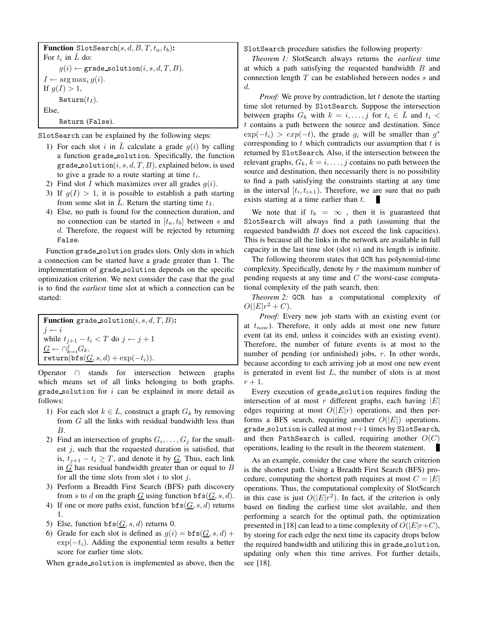**Function** SlotSearch $(s, d, B, T, t_a, t_b)$ : For  $t_i$  in  $\overline{L}$  do:  $g(i) \leftarrow$  grade\_solution $(i, s, d, T, B)$ .  $I \leftarrow \arg \max_i g(i)$ . If  $g(I) > 1$ ,  $Return(t_I)$ . Else, Return (False).

SlotSearch can be explained by the following steps:

- 1) For each slot i in  $\overline{L}$  calculate a grade  $g(i)$  by calling a function grade solution. Specifically, the function grade solution $(i, s, d, T, B)$ , explained below, is used to give a grade to a route starting at time  $t_i$ .
- 2) Find slot I which maximizes over all grades  $g(i)$ .
- 3) If  $g(I) > 1$ , it is possible to establish a path starting from some slot in  $\overline{L}$ . Return the starting time  $t_I$ .
- 4) Else, no path is found for the connection duration, and no connection can be started in  $[t_a, t_b]$  between s and d. Therefore, the request will be rejected by returning False.

Function grade solution grades slots. Only slots in which a connection can be started have a grade greater than 1. The implementation of grade solution depends on the specific optimization criterion. We next consider the case that the goal is to find the *earliest* time slot at which a connection can be started:

**Function** grade solution $(i, s, d, T, B)$ :  $j \leftarrow i$ while  $t_{j+1} - t_i < T$  do  $j \leftarrow j + 1$  $\underline{G} \leftarrow \cap_{k=i}^{j} G_k.$  $return(bfs(\underline{G}, s, d) + exp(-t_i)).$ 

Operator ∩ stands for intersection between graphs which means set of all links belonging to both graphs. grade solution for  $i$  can be explained in more detail as follows:

- 1) For each slot  $k \in L$ , construct a graph  $G_k$  by removing from G all the links with residual bandwidth less than B.
- 2) Find an intersection of graphs  $G_i, \ldots, G_j$  for the smallest  $j$ , such that the requested duration is satisfied, that is,  $t_{j+1} - t_i \geq T$ , and denote it by  $G$ . Thus, each link in  $G$  has residual bandwidth greater than or equal to  $B$ for all the time slots from slot  $i$  to slot  $j$ .
- 3) Perform a Breadth First Search (BFS) path discovery from s to d on the graph  $G$  using function bfs( $G$ , s, d).
- 4) If one or more paths exist, function  $\mathbf{bfs}(G, s, d)$  returns 1.
- 5) Else, function  $\text{bfs}(\underline{G}, s, d)$  returns 0.
- 6) Grade for each slot is defined as  $g(i) = \text{bfs}(G, s, d) +$  $\exp(-t_i)$ . Adding the exponential term results a better score for earlier time slots.

When grade solution is implemented as above, then the

SlotSearch procedure satisfies the following property:

*Theorem 1:* SlotSearch always returns the *earliest* time at which a path satisfying the requested bandwidth  $B$  and connection length  $T$  can be established between nodes  $s$  and d.

*Proof:* We prove by contradiction, let t denote the starting time slot returned by SlotSearch. Suppose the intersection between graphs  $G_k$  with  $k = i, \ldots, j$  for  $t_i \in \overline{L}$  and  $t_i <$ t contains a path between the source and destination. Since  $\exp(-t_i) > exp(-t)$ , the grade  $g_i$  will be smaller than  $g^*$ corresponding to  $t$  which contradicts our assumption that  $t$  is returned by SlotSearch. Also, if the intersection between the relevant graphs,  $G_k$ ,  $k = i, \ldots, j$  contains no path between the source and destination, then necessarily there is no possibility to find a path satisfying the constraints starting at any time in the interval  $[t_i, t_{i+1})$ . Therefore, we are sure that no path exists starting at a time earlier than t.

We note that if  $t_b = \infty$ , then it is guaranteed that SlotSearch will always find a path (assuming that the requested bandwidth B does not exceed the link capacities). This is because all the links in the network are available in full capacity in the last time slot (slot  $n$ ) and its length is infinite.

The following theorem states that GCR has polynomial-time complexity. Specifically, denote by  $r$  the maximum number of pending requests at any time and  $C$  the worst-case computational complexity of the path search, then:

*Theorem 2:* GCR has a computational complexity of  $O(|E|r^2 + C).$ 

*Proof:* Every new job starts with an existing event (or at  $t_{now}$ ). Therefore, it only adds at most one new future event (at its end, unless it coincides with an existing event). Therefore, the number of future events is at most to the number of pending (or unfinished) jobs, r. In other words, because according to each arriving job at most one new event is generated in event list  $L$ , the number of slots is at most  $r+1$ .

Every execution of grade solution requires finding the intersection of at most r different graphs, each having  $|E|$ edges requiring at most  $O(|E|r)$  operations, and then performs a BFS search, requiring another  $O(|E|)$  operations. grade solution is called at most  $r+1$  times by SlotSearch, and then PathSearch is called, requiring another  $O(C)$ operations, leading to the result in the theorem statement.

As an example, consider the case where the search criterion is the shortest path. Using a Breadth First Search (BFS) procedure, computing the shortest path requires at most  $C = |E|$ operations. Thus, the computational complexity of SlotSearch in this case is just  $O(|E|r^2)$ . In fact, if the criterion is only based on finding the earliest time slot available, and then performing a search for the optimal path, the optimization presented in [18] can lead to a time complexity of  $O(|E|r+C)$ , by storing for each edge the next time its capacity drops below the required bandwidth and utilizing this in grade solution, updating only when this time arrives. For further details, see [18].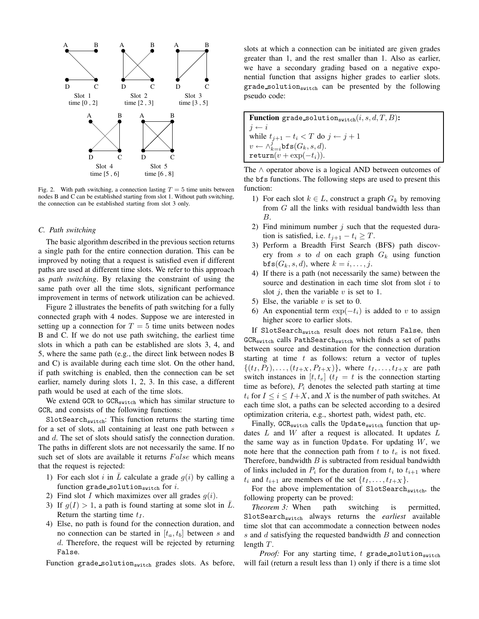

Fig. 2. With path switching, a connection lasting  $T = 5$  time units between nodes B and C can be established starting from slot 1. Without path switching, the connection can be established starting from slot 3 only.

## *C. Path switching*

The basic algorithm described in the previous section returns a single path for the entire connection duration. This can be improved by noting that a request is satisfied even if different paths are used at different time slots. We refer to this approach as *path switching*. By relaxing the constraint of using the same path over all the time slots, significant performance improvement in terms of network utilization can be achieved.

Figure 2 illustrates the benefits of path switching for a fully connected graph with 4 nodes. Suppose we are interested in setting up a connection for  $T = 5$  time units between nodes B and C. If we do not use path switching, the earliest time slots in which a path can be established are slots 3, 4, and 5, where the same path (e.g., the direct link between nodes B and C) is available during each time slot. On the other hand, if path switching is enabled, then the connection can be set earlier, namely during slots 1, 2, 3. In this case, a different path would be used at each of the time slots.

We extend GCR to GCR<sub>switch</sub> which has similar structure to GCR, and consists of the following functions:

 $S$ lotSearch<sub>switch</sub>: This function returns the starting time for a set of slots, all containing at least one path between s and d. The set of slots should satisfy the connection duration. The paths in different slots are not necessarily the same. If no such set of slots are available it returns False which means that the request is rejected:

- 1) For each slot i in  $\overline{L}$  calculate a grade  $g(i)$  by calling a function grade solutionswitch for  $i$ .
- 2) Find slot I which maximizes over all grades  $q(i)$ .
- 3) If  $q(I) > 1$ , a path is found starting at some slot in L. Return the starting time  $t_I$ .
- 4) Else, no path is found for the connection duration, and no connection can be started in  $[t_a, t_b]$  between s and d. Therefore, the request will be rejected by returning False.

Function grade\_solution<sub>switch</sub> grades slots. As before,

 $\overrightarrow{B}$   $\overrightarrow{A}$  slots at which a connection can be initiated are given grades  $\blacklozenge$  and tunction that assigns higher grades to earlier slots.  $\vert \neq \vert$  we have a secondary grading based on a negative expogreater than 1, and the rest smaller than 1. Also as earlier, grade\_solution<sub>switch</sub> can be presented by the following pseudo code:

> **Function** grade\_solution<sub>switch</sub> $(i, s, d, T, B)$ :  $j \leftarrow i$ while  $t_{j+1} - t_i < T$  do  $j \leftarrow j + 1$  $v \leftarrow \wedge_{k=i}^j \texttt{bfs}(G_k, s, d).$  $return(v + exp(-t_i)).$

The ∧ operator above is a logical AND between outcomes of the bfs functions. The following steps are used to present this function:

- 1) For each slot  $k \in L$ , construct a graph  $G_k$  by removing from G all the links with residual bandwidth less than B.
- 2) Find minimum number  $j$  such that the requested duration is satisfied, i.e.  $t_{j+1} - t_i \geq T$ .
- 3) Perform a Breadth First Search (BFS) path discovery from s to d on each graph  $G_k$  using function  $\mathsf{bfs}(G_k, s, d)$ , where  $k = i, \ldots, j$ .
- 4) If there is a path (not necessarily the same) between the source and destination in each time slot from slot  $i$  to slot  $j$ , then the variable  $v$  is set to 1.
- 5) Else, the variable  $v$  is set to 0.
- 6) An exponential term  $\exp(-t_i)$  is added to v to assign higher score to earlier slots.

If SlotSearch<sub>switch</sub> result does not return False, then GCR<sub>switch</sub> calls PathSearch<sub>switch</sub> which finds a set of paths between source and destination for the connection duration starting at time  $t$  as follows: return a vector of tuples  $\{(t_I, P_I), \ldots, (t_{I+X}, P_{I+X})\}\$ , where  $t_I, \ldots, t_{I+X}$  are path switch instances in  $[t, t_e]$  ( $t_I = t$  is the connection starting time as before),  $P_i$  denotes the selected path starting at time  $t_i$  for  $I \leq i \leq I + X$ , and X is the number of path switches. At each time slot, a paths can be selected according to a desired optimization criteria, e.g., shortest path, widest path, etc.

Finally, GCR<sub>switch</sub> calls the Update<sub>switch</sub> function that updates  $L$  and  $W$  after a request is allocated. It updates  $L$ the same way as in function Update. For updating  $W$ , we note here that the connection path from  $t$  to  $t_e$  is not fixed. Therefore, bandwidth  $B$  is subtracted from residual bandwidth of links included in  $P_i$  for the duration from  $t_i$  to  $t_{i+1}$  where  $t_i$  and  $t_{i+1}$  are members of the set  $\{t_1, \ldots, t_{I+X}\}.$ 

For the above implementation of SlotSearch<sub>switch</sub>, the following property can be proved:

*Theorem 3:* When path switching is permitted, SlotSearch<sub>switch</sub> always returns the *earliest* available time slot that can accommodate a connection between nodes  $s$  and  $d$  satisfying the requested bandwidth  $B$  and connection length T.

*Proof:* For any starting time, t grade solutionswitch will fail (return a result less than 1) only if there is a time slot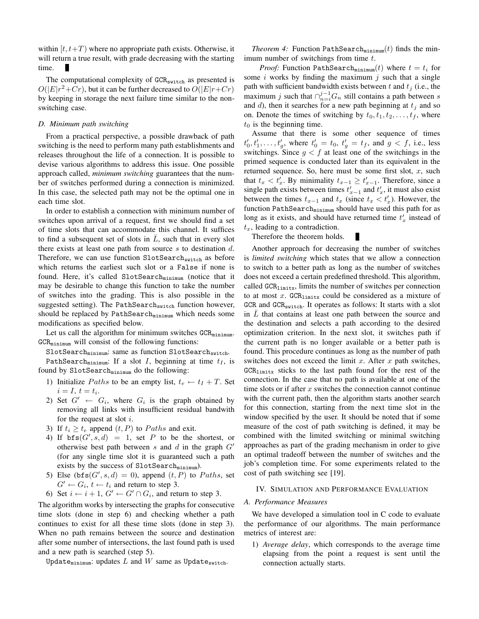within  $[t, t+T)$  where no appropriate path exists. Otherwise, it will return a true result, with grade decreasing with the starting time.

The computational complexity of  $GCR<sub>switch</sub>$  as presented is  $O(|E|r^2+Cr)$ , but it can be further decreased to  $O(|E|r+Cr)$ by keeping in storage the next failure time similar to the nonswitching case.

# *D. Minimum path switching*

From a practical perspective, a possible drawback of path switching is the need to perform many path establishments and releases throughout the life of a connection. It is possible to devise various algorithms to address this issue. One possible approach called, *minimum switching* guarantees that the number of switches performed during a connection is minimized. In this case, the selected path may not be the optimal one in each time slot.

In order to establish a connection with minimum number of switches upon arrival of a request, first we should find a set of time slots that can accommodate this channel. It suffices to find a subsequent set of slots in  $L$ , such that in every slot there exists at least one path from source  $s$  to destination  $d$ . Therefore, we can use function SlotSearch<sub>switch</sub> as before which returns the earliest such slot or a False if none is found. Here, it's called  $SlotSearch<sub>minimum</sub>$  (notice that it may be desirable to change this function to take the number of switches into the grading. This is also possible in the suggested setting). The PathSearch<sub>switch</sub> function however, should be replaced by PathSearch $_{minimum}$  which needs some modifications as specified below.

Let us call the algorithm for minimum switches  $GCR$ <sub>minimum</sub>.  $GCR<sub>minimum</sub>$  will consist of the following functions:

SlotSearch<sub>minimum</sub>: same as function SlotSearch<sub>switch</sub>.

PathSearch<sub>minimum</sub>: If a slot I, beginning at time  $t_I$ , is found by  $S$ lot $Search_{minimum}$  do the following:

- 1) Initialize Paths to be an empty list,  $t_e \leftarrow t_I + T$ . Set  $i = I, t = t_i.$
- 2) Set  $G' \leftarrow G_i$ , where  $G_i$  is the graph obtained by removing all links with insufficient residual bandwith for the request at slot i.
- 3) If  $t_i \geq t_e$  append  $(t, P)$  to Paths and exit.
- 4) If  $bf(s', s, d) = 1$ , set P to be the shortest, or otherwise best path between s and d in the graph  $G'$ (for any single time slot it is guaranteed such a path exists by the success of  $SlotSearch<sub>minimum</sub>$ .
- 5) Else (bfs $(G', s, d) = 0$ ), append  $(t, P)$  to Paths, set  $G' \leftarrow G_i$ ,  $t \leftarrow t_i$  and return to step 3.
- 6) Set  $i \leftarrow i + 1$ ,  $G' \leftarrow G' \cap G_i$ , and return to step 3.

The algorithm works by intersecting the graphs for consecutive time slots (done in step 6) and checking whether a path continues to exist for all these time slots (done in step 3). When no path remains between the source and destination after some number of intersections, the last found path is used and a new path is searched (step 5).

Update<sub>minimum</sub>: updates  $L$  and  $W$  same as Update<sub>switch</sub>.

*Theorem 4:* Function PathSearch<sub>minimum</sub> $(t)$  finds the minimum number of switchings from time  $t$ .

*Proof:* Function PathSearch<sub>minimum</sub> $(t)$  where  $t = t_i$  for some  $i$  works by finding the maximum  $j$  such that a single path with sufficient bandwidth exists between t and  $t_i$  (i.e., the maximum j such that  $\bigcap_{n=1}^{j-1} G_n$  still contains a path between s and  $d$ ), then it searches for a new path beginning at  $t_j$  and so on. Denote the times of switching by  $t_0, t_1, t_2, \ldots, t_f$ , where  $t_0$  is the beginning time.

Assume that there is some other sequence of times  $t'_0, t'_1, \ldots, t'_g$ , where  $t'_0 = t_0, t'_g = t_f$ , and  $g < f$ , i.e., less switchings. Since  $g < f$  at least one of the switchings in the primed sequence is conducted later than its equivalent in the returned sequence. So, here must be some first slot,  $x$ , such that  $t_x < t'_x$ . By minimality  $t_{x-1} \geq t'_{x-1}$ . Therefore, since a single path exists between times  $t'_{x-1}$  and  $t'_{x}$ , it must also exist between the times  $t_{x-1}$  and  $t_x$  (since  $t_x < t'_x$ ). However, the function PathSearch $_{\text{minimum}}$  should have used this path for as long as it exists, and should have returned time  $t'_x$  instead of  $t<sub>x</sub>$ , leading to a contradiction.

Therefore the theorem holds. п

Another approach for decreasing the number of switches is *limited switching* which states that we allow a connection to switch to a better path as long as the number of switches does not exceed a certain predefined threshold. This algorithm, called  $GCR<sub>limitx</sub>$ , limits the number of switches per connection to at most  $x$ . GCR<sub>limitx</sub> could be considered as a mixture of GCR and GCRswitch. It operates as follows: It starts with a slot in  $L$  that contains at least one path between the source and the destination and selects a path according to the desired optimization criterion. In the next slot, it switches path if the current path is no longer available or a better path is found. This procedure continues as long as the number of path switches does not exceed the limit  $x$ . After  $x$  path switches,  $GCR<sub>limitx</sub>$  sticks to the last path found for the rest of the connection. In the case that no path is available at one of the time slots or if after  $x$  switches the connection cannot continue with the current path, then the algorithm starts another search for this connection, starting from the next time slot in the window specified by the user. It should be noted that if some measure of the cost of path switching is defined, it may be combined with the limited switching or minimal switching approaches as part of the grading mechanism in order to give an optimal tradeoff between the number of switches and the job's completion time. For some experiments related to the cost of path switching see [19].

## IV. SIMULATION AND PERFORMANCE EVALUATION

## *A. Performance Measures*

We have developed a simulation tool in C code to evaluate the performance of our algorithms. The main performance metrics of interest are:

1) *Average delay*, which corresponds to the average time elapsing from the point a request is sent until the connection actually starts.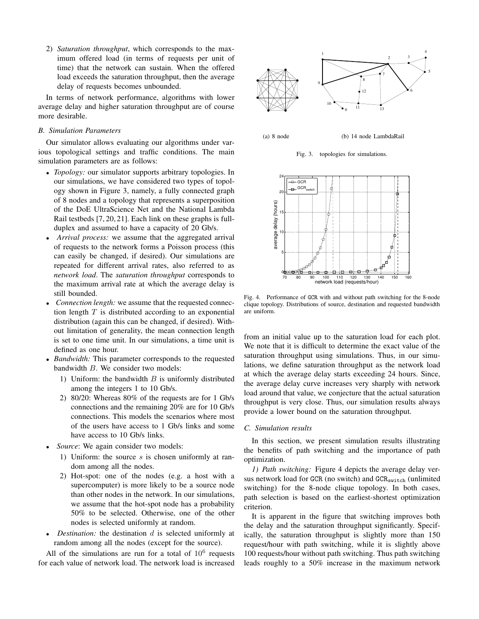2) *Saturation throughput*, which corresponds to the maximum offered load (in terms of requests per unit of time) that the network can sustain. When the offered load exceeds the saturation throughput, then the average delay of requests becomes unbounded.

In terms of network performance, algorithms with lower average delay and higher saturation throughput are of course more desirable.

# *B. Simulation Parameters*

Our simulator allows evaluating our algorithms under various topological settings and traffic conditions. The main simulation parameters are as follows:

- *Topology:* our simulator supports arbitrary topologies. In our simulations, we have considered two types of topology shown in Figure 3, namely, a fully connected graph of 8 nodes and a topology that represents a superposition of the DoE UltraScience Net and the National Lambda Rail testbeds [7, 20, 21]. Each link on these graphs is fullduplex and assumed to have a capacity of 20 Gb/s.
- *Arrival process:* we assume that the aggregated arrival of requests to the network forms a Poisson process (this can easily be changed, if desired). Our simulations are repeated for different arrival rates, also referred to as *network load*. The *saturation throughput* corresponds to the maximum arrival rate at which the average delay is still bounded.
- *Connection length:* we assume that the requested connection length  $T$  is distributed according to an exponential distribution (again this can be changed, if desired). Without limitation of generality, the mean connection length is set to one time unit. In our simulations, a time unit is defined as one hour.
- *Bandwidth:* This parameter corresponds to the requested bandwidth B. We consider two models:
	- 1) Uniform: the bandwidth  $B$  is uniformly distributed among the integers 1 to 10 Gb/s.
	- 2) 80/20: Whereas 80% of the requests are for 1 Gb/s connections and the remaining 20% are for 10 Gb/s connections. This models the scenarios where most of the users have access to 1 Gb/s links and some have access to 10 Gb/s links.
- *Source*: We again consider two models:
	- 1) Uniform: the source  $s$  is chosen uniformly at random among all the nodes.
	- 2) Hot-spot: one of the nodes (e.g. a host with a supercomputer) is more likely to be a source node than other nodes in the network. In our simulations, we assume that the hot-spot node has a probability 50% to be selected. Otherwise, one of the other nodes is selected uniformly at random.
- *Destination:* the destination d is selected uniformly at random among all the nodes (except for the source).

All of the simulations are run for a total of  $10^6$  requests for each value of network load. The network load is increased



(a) 8 node

(b) 14 node LambdaRail

Fig. 3. topologies for simulations.



Fig. 4. Performance of GCR with and without path switching for the 8-node clique topology. Distributions of source, destination and requested bandwidth are uniform.

from an initial value up to the saturation load for each plot. We note that it is difficult to determine the exact value of the saturation throughput using simulations. Thus, in our simulations, we define saturation throughput as the network load at which the average delay starts exceeding 24 hours. Since, the average delay curve increases very sharply with network load around that value, we conjecture that the actual saturation throughput is very close. Thus, our simulation results always provide a lower bound on the saturation throughput.

#### *C. Simulation results*

In this section, we present simulation results illustrating the benefits of path switching and the importance of path optimization.

*1) Path switching:* Figure 4 depicts the average delay versus network load for GCR (no switch) and  $GCR_{switch}$  (unlimited switching) for the 8-node clique topology. In both cases, path selection is based on the earliest-shortest optimization criterion.

It is apparent in the figure that switching improves both the delay and the saturation throughput significantly. Specifically, the saturation throughput is slightly more than 150 request/hour with path switching, while it is slightly above 100 requests/hour without path switching. Thus path switching leads roughly to a 50% increase in the maximum network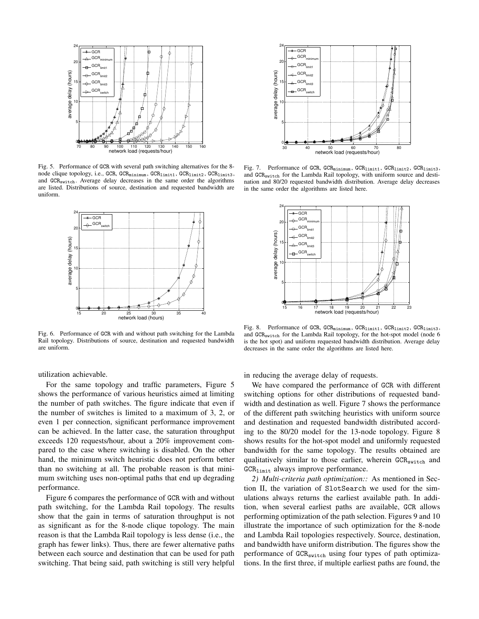

Fig. 5. Performance of GCR with several path switching alternatives for the 8 node clique topology, i.e., GCR,  $GCR<sub>minimum</sub>$ ,  $GCR<sub>limit1</sub>$ ,  $GCR<sub>limit2</sub>$ ,  $GCR<sub>limit3</sub>$ , and GCR<sub>switch</sub>. Average delay decreases in the same order the algorithms are listed. Distributions of source, destination and requested bandwidth are uniform.



Fig. 6. Performance of GCR with and without path switching for the Lambda Rail topology. Distributions of source, destination and requested bandwidth are uniform.

utilization achievable.

For the same topology and traffic parameters, Figure 5 shows the performance of various heuristics aimed at limiting the number of path switches. The figure indicate that even if the number of switches is limited to a maximum of 3, 2, or even 1 per connection, significant performance improvement can be achieved. In the latter case, the saturation throughput exceeds 120 requests/hour, about a 20% improvement compared to the case where switching is disabled. On the other hand, the minimum switch heuristic does not perform better than no switching at all. The probable reason is that minimum switching uses non-optimal paths that end up degrading performance.

Figure 6 compares the performance of GCR with and without path switching, for the Lambda Rail topology. The results show that the gain in terms of saturation throughput is not as significant as for the 8-node clique topology. The main reason is that the Lambda Rail topology is less dense (i.e., the graph has fewer links). Thus, there are fewer alternative paths between each source and destination that can be used for path switching. That being said, path switching is still very helpful



Fig. 7. Performance of GCR, GCRminimum, GCR1imit1, GCR1imit2, GCR1imit3, and GCRswitch for the Lambda Rail topology, with uniform source and destination and 80/20 requested bandwidth distribution. Average delay decreases in the same order the algorithms are listed here.



Fig. 8. Performance of GCR, GCRminimum, GCRlimit1, GCRlimit2, GCRlimit3, and GCRswitch for the Lambda Rail topology, for the hot-spot model (node 6 is the hot spot) and uniform requested bandwidth distribution. Average delay decreases in the same order the algorithms are listed here.

in reducing the average delay of requests.

We have compared the performance of GCR with different switching options for other distributions of requested bandwidth and destination as well. Figure 7 shows the performance of the different path switching heuristics with uniform source and destination and requested bandwidth distributed according to the 80/20 model for the 13-node topology. Figure 8 shows results for the hot-spot model and uniformly requested bandwidth for the same topology. The results obtained are qualitatively similar to those earlier, wherein GCR<sub>switch</sub> and  $GCR<sub>limit</sub>$  always improve performance.

*2) Multi-criteria path optimization::* As mentioned in Section II, the variation of SlotSearch we used for the simulations always returns the earliest available path. In addition, when several earliest paths are available, GCR allows performing optimization of the path selection. Figures 9 and 10 illustrate the importance of such optimization for the 8-node and Lambda Rail topologies respectively. Source, destination, and bandwidth have uniform distribution. The figures show the performance of GCR<sub>switch</sub> using four types of path optimizations. In the first three, if multiple earliest paths are found, the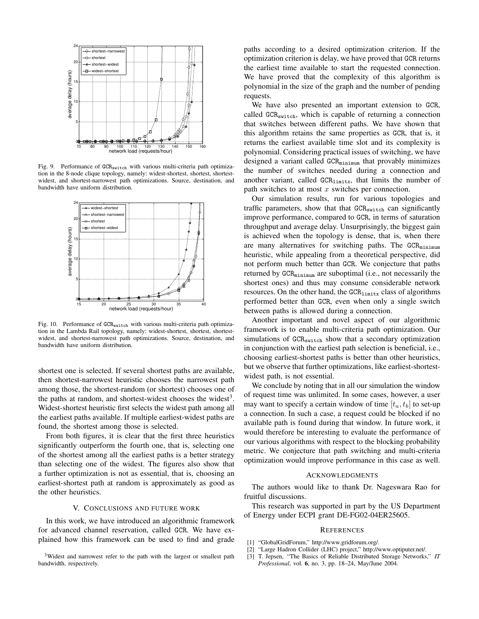

Fig. 9. Performance of GCR<sub>switch</sub> with various multi-criteria path optimization in the 8-node clique topology, namely: widest-shortest, shortest, shortestwidest, and shortest-narrowest path optimizations. Source, destination, and bandwidth have uniform distribution.



Fig. 10. Performance of GCR<sub>switch</sub> with various multi-criteria path optimization in the Lambda Rail topology, namely: widest-shortest, shortest, shortestwidest, and shortest-narrowest path optimizations. Source, destination, and bandwidth have uniform distribution.

shortest one is selected. If several shortest paths are available, then shortest-narrowest heuristic chooses the narrowest path among those, the shortest-random (or shortest) chooses one of the paths at random, and shortest-widest chooses the widest<sup>3</sup>. Widest-shortest heuristic first selects the widest path among all the earliest paths available. If multiple earliest-widest paths are found, the shortest among those is selected.

From both figures, it is clear that the first three heuristics significantly outperform the fourth one, that is, selecting one of the shortest among all the earliest paths is a better strategy than selecting one of the widest. The figures also show that a further optimization is not as essential, that is, choosing an earliest-shortest path at random is approximately as good as the other heuristics.

## V. CONCLUSIONS AND FUTURE WORK

In this work, we have introduced an algorithmic framework for advanced channel reservation, called GCR. We have explained how this framework can be used to find and grade

<sup>3</sup>Widest and narrowest refer to the path with the largest or smallest path bandwidth, respectively.

paths according to a desired optimization criterion. If the optimization criterion is delay, we have proved that GCR returns the earliest time available to start the requested connection. We have proved that the complexity of this algorithm is polynomial in the size of the graph and the number of pending requests.

We have also presented an important extension to GCR, called GCRswitch, which is capable of returning a connection that switches between different paths. We have shown that this algorithm retains the same properties as GCR, that is, it returns the earliest available time slot and its complexity is polynomial. Considering practical issues of switching, we have designed a variant called  $GCR_{minimum}$  that provably minimizes the number of switches needed during a connection and another variant, called  $GCR<sub>limitx</sub>$ , that limits the number of path switches to at most  $x$  switches per connection.

Our simulation results, run for various topologies and traffic parameters, show that that  $GCR_{switch}$  can significantly improve performance, compared to GCR, in terms of saturation throughput and average delay. Unsurprisingly, the biggest gain is achieved when the topology is dense, that is, when there are many alternatives for switching paths. The  $GCR<sub>minimum</sub>$ heuristic, while appealing from a theoretical perspective, did not perform much better than GCR. We conjecture that paths returned by  $GCR<sub>minimum</sub>$  are suboptimal (i.e., not necessarily the shortest ones) and thus may consume considerable network resources. On the other hand, the  $GCR<sub>limitx</sub>$  class of algorithms performed better than GCR, even when only a single switch between paths is allowed during a connection.

Another important and novel aspect of our algorithmic framework is to enable multi-criteria path optimization. Our simulations of GCR<sub>switch</sub> show that a secondary optimization in conjunction with the earliest path selection is beneficial, i.e., choosing earliest-shortest paths is better than other heuristics, but we observe that further optimizations, like earliest-shortestwidest path, is not essential.

We conclude by noting that in all our simulation the window of request time was unlimited. In some cases, however, a user may want to specify a certain window of time  $[t_a, t_b]$  to set-up a connection. In such a case, a request could be blocked if no available path is found during that window. In future work, it would therefore be interesting to evaluate the performance of our various algorithms with respect to the blocking probability metric. We conjecture that path switching and multi-criteria optimization would improve performance in this case as well.

# ACKNOWLEDGMENTS

The authors would like to thank Dr. Nageswara Rao for fruitful discussions.

This research was supported in part by the US Department of Energy under ECPI grant DE-FG02-04ER25605.

#### **REFERENCES**

- [1] "GlobalGridForum," http://www.gridforum.org/.
- [2] "Large Hadron Collider (LHC) project," http://www.optiputer.net/.
- [3] T. Jepsen, "The Basics of Reliable Distributed Storage Networks," *IT Professional*, vol. **6**, no. 3, pp. 18–24, May/June 2004.